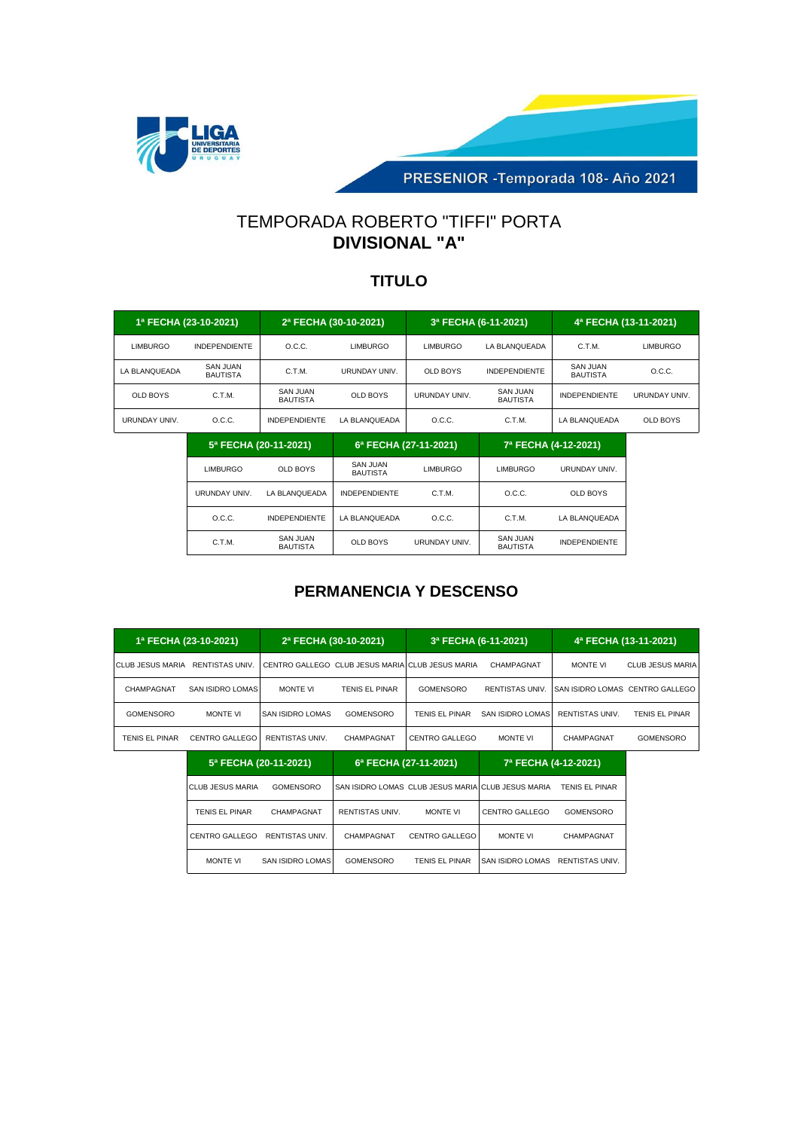

PRESENIOR - Temporada 108 - Año 2021

# TEMPORADA ROBERTO "TIFFI" PORTA **DIVISIONAL "A"**

#### **TITULO**

| 1ª FECHA (23-10-2021) |                                    | 2ª FECHA (30-10-2021)       |               | 3ª FECHA (6-11-2021) |                             | 4ª FECHA (13-11-2021)       |                 |
|-----------------------|------------------------------------|-----------------------------|---------------|----------------------|-----------------------------|-----------------------------|-----------------|
| <b>LIMBURGO</b>       | <b>INDEPENDIENTE</b>               | O.C.C.                      | LIMBURGO      | <b>LIMBURGO</b>      | LA BLANOUEADA               | C.T.M.                      | <b>LIMBURGO</b> |
| LA BLANQUEADA         | <b>SAN JUAN</b><br><b>BAUTISTA</b> | C.T.M.                      | URUNDAY UNIV. | <b>OLD BOYS</b>      | <b>INDEPENDIENTE</b>        | SAN JUAN<br><b>BAUTISTA</b> | O.C.C.          |
| OLD BOYS              | C.T.M.                             | SAN JUAN<br><b>BAUTISTA</b> | OLD BOYS      | <b>URUNDAY UNIV.</b> | SAN JUAN<br><b>BAUTISTA</b> | <b>INDEPENDIENTE</b>        | URUNDAY UNIV.   |
| <b>URUNDAY UNIV.</b>  | O.C.C.                             | <b>INDEPENDIENTE</b>        | LA BLANOUEADA | O.C.C.               | C.T.M.                      | LA BLANQUEADA               | <b>OLD BOYS</b> |

|               | 5ª FECHA (20-11-2021)       | 6ª FECHA (27-11-2021)                          |                      | 7ª FECHA (4-12-2021)        |                      |  |
|---------------|-----------------------------|------------------------------------------------|----------------------|-----------------------------|----------------------|--|
| LIMBURGO      | OLD BOYS                    | SAN JUAN<br><b>LIMBURGO</b><br><b>BAUTISTA</b> |                      | <b>LIMBURGO</b>             | <b>URUNDAY UNIV.</b> |  |
| URUNDAY UNIV. | LA BLANOUEADA               | <b>INDEPENDIENTE</b>                           | C.T.M.               | O.C.C.                      | OLD BOYS             |  |
| O.C.C.        | <b>INDEPENDIENTE</b>        | LA BLANQUEADA                                  | O.C.C.               | C.T.M.                      | LA BLANQUEADA        |  |
| C.T.M.        | SAN JUAN<br><b>BAUTISTA</b> | <b>OLD BOYS</b>                                | <b>URUNDAY UNIV.</b> | SAN JUAN<br><b>BAUTISTA</b> | <b>INDEPENDIENTE</b> |  |

|                                   | 1ª FECHA (23-10-2021)   |                         | 2ª FECHA (30-10-2021)                            | 3ª FECHA (6-11-2021)                               |                         |                        | 4ª FECHA (13-11-2021)           |
|-----------------------------------|-------------------------|-------------------------|--------------------------------------------------|----------------------------------------------------|-------------------------|------------------------|---------------------------------|
| ICLUB JESUS MARIA RENTISTAS UNIV. |                         |                         | CENTRO GALLEGO CLUB JESUS MARIA CLUB JESUS MARIA |                                                    | CHAMPAGNAT              | <b>MONTE VI</b>        | <b>CLUB JESUS MARIA</b>         |
| CHAMPAGNAT                        | <b>SAN ISIDRO LOMAS</b> | <b>MONTE VI</b>         | <b>TENIS EL PINAR</b>                            | <b>GOMENSORO</b>                                   | <b>RENTISTAS UNIV.</b>  |                        | SAN ISIDRO LOMAS CENTRO GALLEGO |
| <b>GOMENSORO</b>                  | <b>MONTE VI</b>         | SAN ISIDRO LOMAS        | <b>GOMENSORO</b>                                 | TENIS EL PINAR                                     | SAN ISIDRO LOMAS        | <b>RENTISTAS UNIV.</b> | TENIS EL PINAR                  |
| <b>TENIS EL PINAR</b>             | <b>CENTRO GALLEGO</b>   | <b>RENTISTAS UNIV.</b>  | CHAMPAGNAT                                       | <b>CENTRO GALLEGO</b>                              | <b>MONTE VI</b>         | CHAMPAGNAT             | <b>GOMENSORO</b>                |
|                                   | 5ª FECHA (20-11-2021)   |                         |                                                  | 6ª FECHA (27-11-2021)                              |                         | 7ª FECHA (4-12-2021)   |                                 |
|                                   | <b>CLUB JESUS MARIA</b> | <b>GOMENSORO</b>        |                                                  | SAN ISIDRO LOMAS CLUB JESUS MARIA CLUB JESUS MARIA |                         | <b>TENIS EL PINAR</b>  |                                 |
|                                   | TENIS EL PINAR          | CHAMPAGNAT              | <b>RENTISTAS UNIV.</b>                           | <b>MONTE VI</b>                                    | CENTRO GALLEGO          | <b>GOMENSORO</b>       |                                 |
|                                   | CENTRO GALLEGO          | <b>RENTISTAS UNIV.</b>  | CHAMPAGNAT                                       | <b>CENTRO GALLEGO</b>                              | <b>MONTE VI</b>         | CHAMPAGNAT             |                                 |
|                                   | <b>MONTE VI</b>         | <b>SAN ISIDRO LOMAS</b> | <b>GOMENSORO</b>                                 | <b>TENIS EL PINAR</b>                              | <b>SAN ISIDRO LOMAS</b> | <b>RENTISTAS UNIV.</b> |                                 |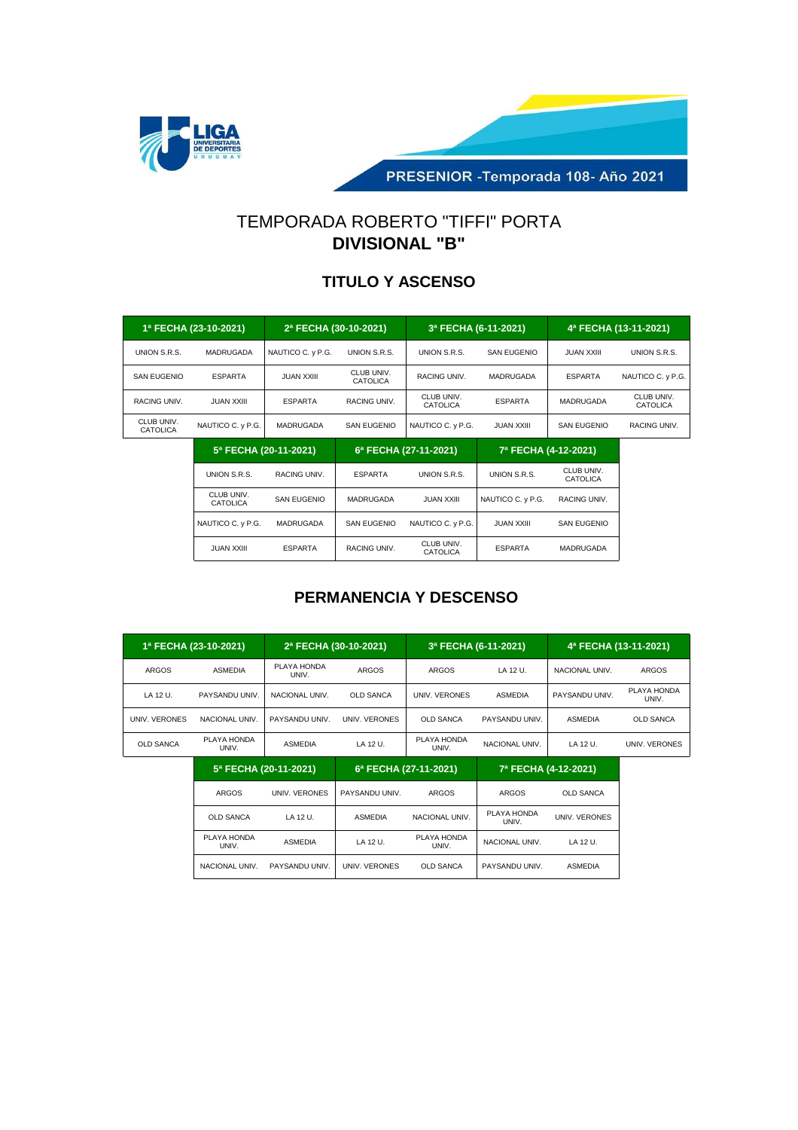

PRESENIOR - Temporada 108- Año 2021

# TEMPORADA ROBERTO "TIFFI" PORTA **DIVISIONAL "B"**

#### **TITULO Y ASCENSO**

| 1ª FECHA (23-10-2021)  |                   | 2ª FECHA (30-10-2021) |                        | 3ª FECHA (6-11-2021)   |                | 4ª FECHA (13-11-2021) |                        |
|------------------------|-------------------|-----------------------|------------------------|------------------------|----------------|-----------------------|------------------------|
| UNION S.R.S.           | MADRUGADA         | NAUTICO C. y P.G.     | UNION S.R.S.           | UNION S.R.S.           | SAN EUGENIO    | <b>JUAN XXIII</b>     | UNION S.R.S.           |
| <b>SAN EUGENIO</b>     | <b>ESPARTA</b>    | <b>JUAN XXIII</b>     | CLUB UNIV.<br>CATOLICA | <b>RACING UNIV.</b>    | MADRUGADA      | <b>ESPARTA</b>        | NAUTICO C. y P.G.      |
| RACING UNIV.           | JUAN XXIII.       | <b>ESPARTA</b>        | RACING UNIV.           | CLUB UNIV.<br>CATOLICA | <b>ESPARTA</b> | MADRUGADA             | CLUB UNIV.<br>CATOLICA |
| CLUB UNIV.<br>CATOLICA | NAUTICO C. y P.G. | MADRUGADA             | SAN EUGENIO            | NAUTICO C. y P.G.      | JUAN XXIII.    | SAN EUGENIO           | RACING UNIV.           |

|                        | 5ª FECHA (20-11-2021) |                | 6ª FECHA (27-11-2021)  | 7ª FECHA (4-12-2021) |                        |  |
|------------------------|-----------------------|----------------|------------------------|----------------------|------------------------|--|
| UNION S.R.S.           | RACING UNIV.          | <b>ESPARTA</b> | UNION S.R.S.           | UNION S.R.S.         | CLUB UNIV.<br>CATOLICA |  |
| CLUB UNIV.<br>CATOLICA | SAN EUGENIO           | MADRUGADA      | <b>JUAN XXIII</b>      | NAUTICO C. y P.G.    | RACING UNIV.           |  |
| NAUTICO C. y P.G.      | MADRUGADA             | SAN EUGENIO    | NAUTICO C. y P.G.      | <b>JUAN XXIII</b>    | SAN EUGENIO            |  |
| <b>JUAN XXIII</b>      | <b>ESPARTA</b>        | RACING UNIV.   | CLUB UNIV.<br>CATOLICA | <b>ESPARTA</b>       | MADRUGADA              |  |

#### **PERMANENCIA Y DESCENSO**

|                  | 1ª FECHA (23-10-2021) | 2ª FECHA (30-10-2021) |                  | 3ª FECHA (6-11-2021)  |                      | 4ª FECHA (13-11-2021) |                      |
|------------------|-----------------------|-----------------------|------------------|-----------------------|----------------------|-----------------------|----------------------|
| <b>ARGOS</b>     | <b>ASMEDIA</b>        | PLAYA HONDA<br>UNIV.  | <b>ARGOS</b>     | <b>ARGOS</b>          | LA 12 U.             | NACIONAL UNIV.        | <b>ARGOS</b>         |
| LA 12 U.         | PAYSANDU UNIV.        | NACIONAL UNIV.        | <b>OLD SANCA</b> | UNIV. VERONES         | ASMEDIA              | PAYSANDU UNIV.        | PLAYA HONDA<br>UNIV. |
| UNIV. VERONES    | NACIONAL UNIV.        | PAYSANDU UNIV.        | UNIV. VERONES    | <b>OLD SANCA</b>      | PAYSANDU UNIV.       | <b>ASMEDIA</b>        | <b>OLD SANCA</b>     |
| <b>OLD SANCA</b> | PLAYA HONDA<br>UNIV.  | <b>ASMEDIA</b>        | LA 12 U.         | PLAYA HONDA<br>UNIV.  | NACIONAL UNIV.       | LA 12 U.              | UNIV. VERONES        |
|                  | 5ª FECHA (20-11-2021) |                       |                  | 6ª FECHA (27-11-2021) |                      | 7ª FECHA (4-12-2021)  |                      |
|                  | <b>ARGOS</b>          | UNIV. VERONES         | PAYSANDU UNIV.   | <b>ARGOS</b>          | <b>ARGOS</b>         | <b>OLD SANCA</b>      |                      |
|                  | <b>OLD SANCA</b>      | LA 12 U.              | <b>ASMEDIA</b>   | NACIONAL UNIV.        | PLAYA HONDA<br>UNIV. | <b>UNIV. VERONES</b>  |                      |
|                  | PLAYA HONDA<br>UNIV.  | <b>ASMEDIA</b>        | LA 12 U.         | PLAYA HONDA<br>UNIV.  | NACIONAL UNIV.       | LA 12 U.              |                      |

NACIONAL UNIV. PAYSANDU UNIV. UNIV. VERONES OLD SANCA PAYSANDU UNIV. ASMEDIA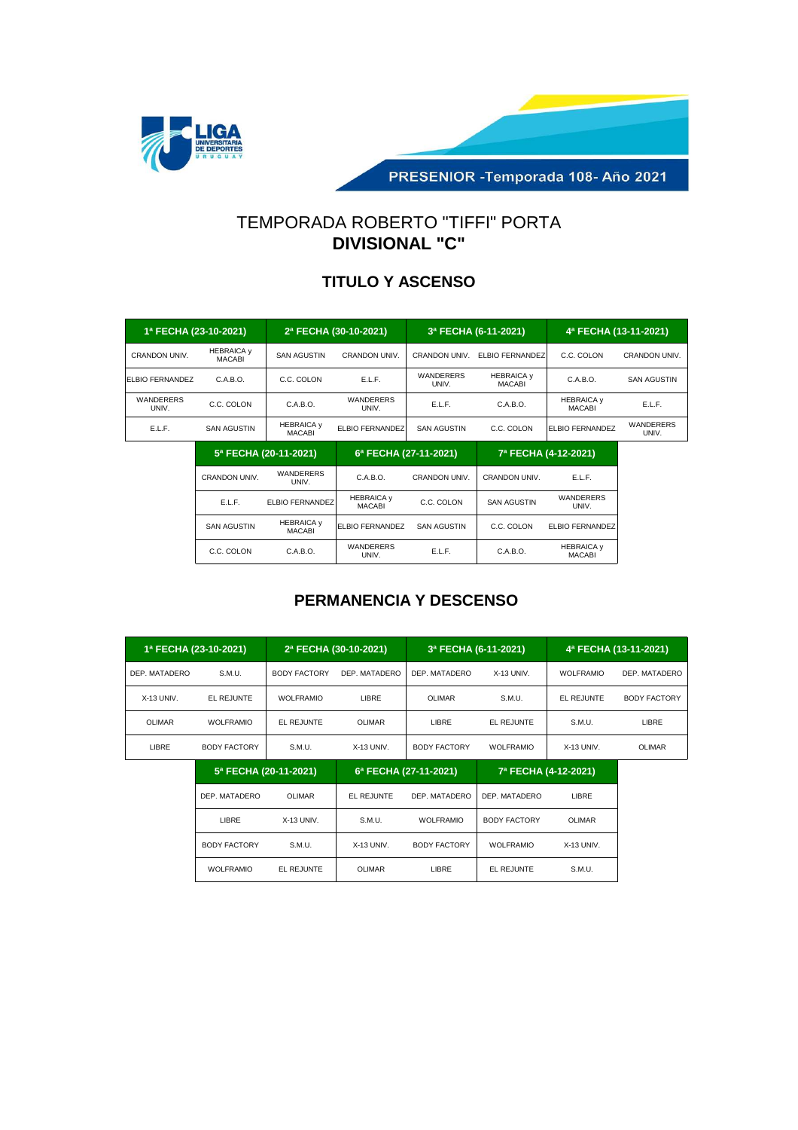

PRESENIOR - Temporada 108- Año 2021

# TEMPORADA ROBERTO "TIFFI" PORTA **DIVISIONAL "C"**

### **TITULO Y ASCENSO**

| 1ª FECHA (23-10-2021)     |                                    | 2ª FECHA (30-10-2021)              |                           | 3ª FECHA (6-11-2021) |                                    | 4ª FECHA (13-11-2021)              |                    |
|---------------------------|------------------------------------|------------------------------------|---------------------------|----------------------|------------------------------------|------------------------------------|--------------------|
| CRANDON UNIV.             | <b>HEBRAICA y</b><br><b>MACABI</b> | <b>SAN AGUSTIN</b>                 | <b>CRANDON UNIV.</b>      | <b>CRANDON UNIV.</b> | <b>ELBIO FERNANDEZ</b>             | C.C. COLON                         | CRANDON UNIV.      |
| <b>ELBIO FERNANDEZ</b>    | C.A.B.O.                           | C.C. COLON                         | E.L.F.                    | WANDERERS<br>UNIV.   | <b>HEBRAICA y</b><br><b>MACABI</b> | C.A.B.O.                           | <b>SAN AGUSTIN</b> |
| <b>WANDERERS</b><br>UNIV. | C.C. COLON                         | C.A.B.O.                           | <b>WANDERERS</b><br>UNIV. | E.L.F.               | C.A.B.O.                           | <b>HEBRAICA y</b><br><b>MACABI</b> | E.L.F.             |
| E.L.F.                    | <b>SAN AGUSTIN</b>                 | <b>HEBRAICA y</b><br><b>MACABI</b> | <b>ELBIO FERNANDEZ</b>    | <b>SAN AGUSTIN</b>   | C.C. COLON                         | ELBIO FERNANDEZ                    | WANDERERS<br>UNIV. |

|                    | 5ª FECHA (20-11-2021)              | 6ª FECHA (27-11-2021)              |               | 7ª FECHA (4-12-2021) |                                    |  |
|--------------------|------------------------------------|------------------------------------|---------------|----------------------|------------------------------------|--|
| CRANDON UNIV.      | WANDERERS<br>UNIV.                 |                                    | CRANDON UNIV. | CRANDON UNIV.        | E.L.F.                             |  |
| E.L.F.             | ELBIO FERNANDEZ                    | <b>HEBRAICA y</b><br><b>MACABI</b> | C.C. COLON    | <b>SAN AGUSTIN</b>   | WANDERERS<br>UNIV.                 |  |
| <b>SAN AGUSTIN</b> | <b>HEBRAICA y</b><br><b>MACABI</b> | <b>ELBIO FERNANDEZ</b>             | SAN AGUSTIN   | C.C. COLON           | ELBIO FERNANDEZ                    |  |
| C.C. COLON         | C.A.B.O.                           | WANDERERS<br>UNIV.                 | E.L.F.        | C.A.B.O.             | <b>HEBRAICA y</b><br><b>MACABI</b> |  |

| 1ª FECHA (23-10-2021) |                  | 2ª FECHA (30-10-2021) |               | 3ª FECHA (6-11-2021) |                  | 4ª FECHA (13-11-2021) |               |
|-----------------------|------------------|-----------------------|---------------|----------------------|------------------|-----------------------|---------------|
| DEP. MATADERO         | S.M.U.           | <b>BODY FACTORY</b>   | DEP. MATADERO | DEP. MATADERO        | $X-13$ UNIV.     | <b>WOLFRAMIO</b>      | DEP. MATADERO |
| $X-13$ UNIV.          | EL REJUNTE       | <b>WOLFRAMIO</b>      | LIBRE         | OLIMAR               | S.M.U.           | EL REJUNTE            | BODY FACTORY  |
| OLIMAR                | <b>WOLFRAMIO</b> | EL REJUNTE            | OLIMAR        | LIBRE                | EL REJUNTE       | S.M.U.                | LIBRE         |
| LIBRE                 | BODY FACTORY     | S.M.U.                | $X-13$ UNIV.  | <b>BODY FACTORY</b>  | <b>WOLFRAMIO</b> | $X-13$ UNIV.          | OLIMAR        |

| 5ª FECHA (20-11-2021) |            |              | 6ª FECHA (27-11-2021) | 7ª FECHA (4-12-2021) |              |  |
|-----------------------|------------|--------------|-----------------------|----------------------|--------------|--|
| DEP. MATADERO         | OLIMAR     | EL REJUNTE   | DEP. MATADERO         | DEP. MATADERO        | LIBRE        |  |
| LIBRE                 | X-13 UNIV. | S.M.U.       | <b>WOLFRAMIO</b>      | <b>BODY FACTORY</b>  | OLIMAR       |  |
| BODY FACTORY          | S.M.U.     | $X-13$ UNIV. | <b>BODY FACTORY</b>   | <b>WOLFRAMIO</b>     | $X-13$ UNIV. |  |
| <b>WOLFRAMIO</b>      | EL REJUNTE | OLIMAR       | LIBRE                 | EL REJUNTE           | S.M.U.       |  |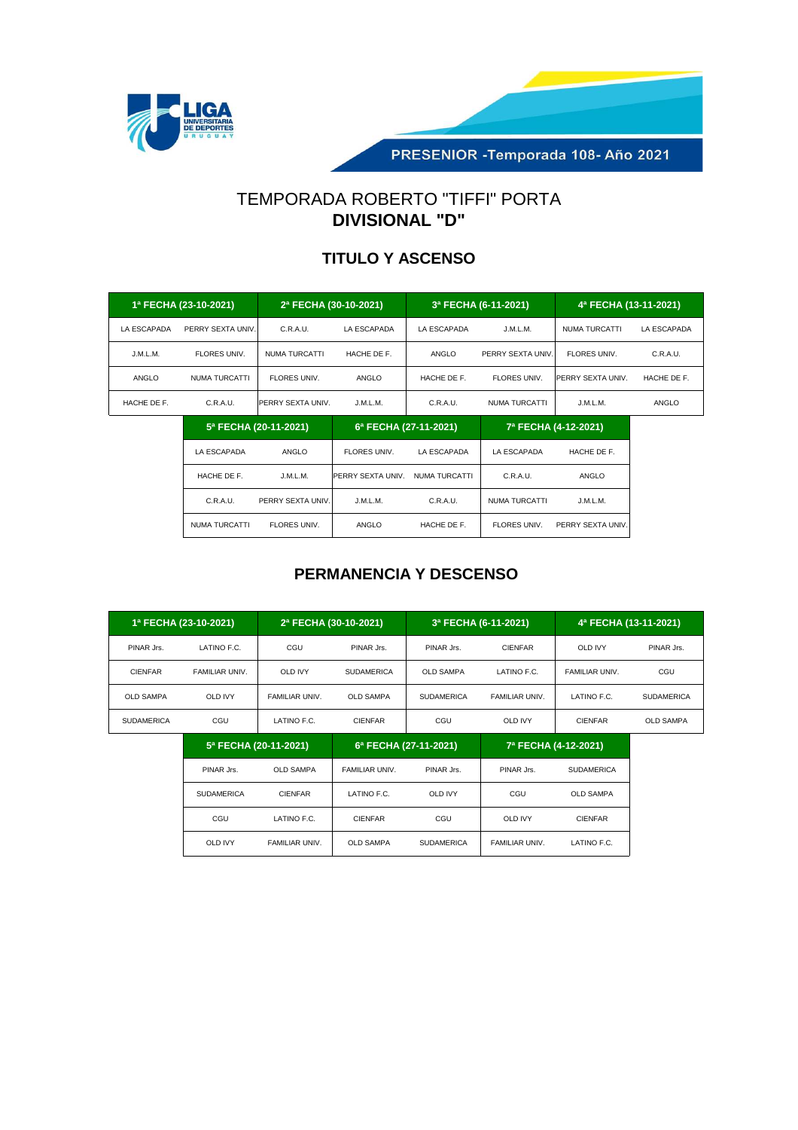



## TEMPORADA ROBERTO "TIFFI" PORTA **DIVISIONAL "D"**

#### **TITULO Y ASCENSO**

|             | 1ª FECHA (23-10-2021) | 2ª FECHA (30-10-2021) |                   | 3ª FECHA (6-11-2021)  |                      | 4ª FECHA (13-11-2021) |              |
|-------------|-----------------------|-----------------------|-------------------|-----------------------|----------------------|-----------------------|--------------|
| LA ESCAPADA | PERRY SEXTA UNIV.     | C.R.A.U.              | LA ESCAPADA       | LA ESCAPADA           | J.M.L.M.             | NUMA TURCATTI         | LA ESCAPADA  |
| J.M.L.M.    | FLORES UNIV.          | NUMA TURCATTI         | HACHE DE F.       | ANGLO                 | PERRY SEXTA UNIV.    | FLORES UNIV.          | C.R.A.U.     |
| ANGLO       | NUMA TURCATTI         | FLORES UNIV.          | ANGLO             | HACHE DE F.           | FLORES UNIV.         | PERRY SEXTA UNIV.     | HACHE DE F.  |
| HACHE DE F. | C.R.A.U.              | PERRY SEXTA UNIV.     | J.M.L.M.          | C.R.A.U.              | <b>NUMA TURCATTI</b> | J.M.L.M.              | <b>ANGLO</b> |
|             | 5ª FECHA (20-11-2021) |                       |                   | 6ª FECHA (27-11-2021) |                      | 7ª FECHA (4-12-2021)  |              |
|             | LA ESCAPADA           | ANGLO                 | FLORES UNIV.      | LA ESCAPADA           | LA ESCAPADA          | HACHE DE F.           |              |
|             | HACHE DE F.           | J.M.L.M.              | PERRY SEXTA UNIV. | NUMA TURCATTI         | C.R.A.U.             | ANGLO                 |              |
|             | C.R.A.U.              | PERRY SEXTA UNIV.     | J.M.L.M.          | C.R.A.U.              | NUMA TURCATTI        | J.M.L.M.              |              |
|             | NUMA TURCATTI         | FLORES UNIV.          | ANGLO             | HACHE DE F.           | FLORES UNIV.         | PERRY SEXTA UNIV.     |              |

| 1ª FECHA (23-10-2021) |                       | 2ª FECHA (30-10-2021) |                   | 3ª FECHA (6-11-2021)  |                       | 4ª FECHA (13-11-2021) |                   |
|-----------------------|-----------------------|-----------------------|-------------------|-----------------------|-----------------------|-----------------------|-------------------|
| PINAR Jrs.            | LATINO F.C.           | CGU                   | PINAR Jrs.        | PINAR Jrs.            | <b>CIENFAR</b>        | <b>OLD IVY</b>        | PINAR Jrs.        |
| <b>CIENFAR</b>        | FAMILIAR UNIV.        | <b>OLD IVY</b>        | <b>SUDAMERICA</b> | <b>OLD SAMPA</b>      | LATINO F.C.           | <b>FAMILIAR UNIV.</b> | CGU               |
| <b>OLD SAMPA</b>      | OLD IVY               | <b>FAMILIAR UNIV.</b> | <b>OLD SAMPA</b>  | <b>SUDAMERICA</b>     | <b>FAMILIAR UNIV.</b> | LATINO F.C.           | <b>SUDAMERICA</b> |
| <b>SUDAMERICA</b>     | CGU                   | LATINO F.C.           | <b>CIENFAR</b>    | CGU                   | <b>OLD IVY</b>        | <b>CIENFAR</b>        | <b>OLD SAMPA</b>  |
|                       | 5ª FECHA (20-11-2021) |                       |                   | 6ª FECHA (27-11-2021) |                       | 7ª FECHA (4-12-2021)  |                   |

|                   | $3 + 20117$ (20 $112021$ | $0.1$ $-0.1$ $-0.1$ |                   | $1.1$ $\leq$ $\leq$ $\leq$ $\leq$ $\leq$ $\leq$ $\leq$ $\leq$ $\leq$ $\leq$ $\leq$ $\leq$ $\leq$ $\leq$ $\leq$ $\leq$ $\leq$ $\leq$ $\leq$ $\leq$ $\leq$ $\leq$ $\leq$ $\leq$ $\leq$ $\leq$ $\leq$ $\leq$ $\leq$ $\leq$ $\leq$ $\leq$ $\leq$ $\leq$ $\leq$ $\leq$ |                   |  |
|-------------------|--------------------------|---------------------|-------------------|-------------------------------------------------------------------------------------------------------------------------------------------------------------------------------------------------------------------------------------------------------------------|-------------------|--|
| PINAR Jrs.        | <b>OLD SAMPA</b>         | FAMILIAR UNIV.      | PINAR Jrs.        | PINAR Jrs.                                                                                                                                                                                                                                                        | <b>SUDAMERICA</b> |  |
| <b>SUDAMERICA</b> | <b>CIENFAR</b>           | LATINO F.C.         | <b>OLD IVY</b>    | CGU                                                                                                                                                                                                                                                               | <b>OLD SAMPA</b>  |  |
| CGU               | LATINO F.C.              | <b>CIENFAR</b>      | CGU               | <b>OLD IVY</b>                                                                                                                                                                                                                                                    | <b>CIENFAR</b>    |  |
| <b>OLD IVY</b>    | FAMILIAR UNIV.           | <b>OLD SAMPA</b>    | <b>SUDAMERICA</b> | FAMILIAR UNIV.                                                                                                                                                                                                                                                    | LATINO F.C.       |  |